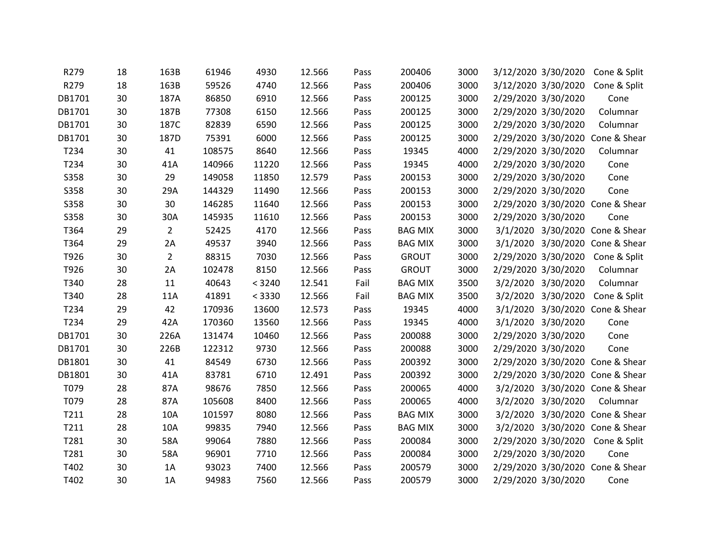| R279   | 18 | 163B           | 61946  | 4930   | 12.566 | Pass | 200406         | 3000 | 3/12/2020 3/30/2020              | Cone & Split |
|--------|----|----------------|--------|--------|--------|------|----------------|------|----------------------------------|--------------|
| R279   | 18 | 163B           | 59526  | 4740   | 12.566 | Pass | 200406         | 3000 | 3/12/2020 3/30/2020              | Cone & Split |
| DB1701 | 30 | 187A           | 86850  | 6910   | 12.566 | Pass | 200125         | 3000 | 2/29/2020 3/30/2020              | Cone         |
| DB1701 | 30 | 187B           | 77308  | 6150   | 12.566 | Pass | 200125         | 3000 | 2/29/2020 3/30/2020              | Columnar     |
| DB1701 | 30 | 187C           | 82839  | 6590   | 12.566 | Pass | 200125         | 3000 | 2/29/2020 3/30/2020              | Columnar     |
| DB1701 | 30 | 187D           | 75391  | 6000   | 12.566 | Pass | 200125         | 3000 | 2/29/2020 3/30/2020              | Cone & Shear |
| T234   | 30 | 41             | 108575 | 8640   | 12.566 | Pass | 19345          | 4000 | 2/29/2020 3/30/2020              | Columnar     |
| T234   | 30 | 41A            | 140966 | 11220  | 12.566 | Pass | 19345          | 4000 | 2/29/2020 3/30/2020              | Cone         |
| S358   | 30 | 29             | 149058 | 11850  | 12.579 | Pass | 200153         | 3000 | 2/29/2020 3/30/2020              | Cone         |
| S358   | 30 | 29A            | 144329 | 11490  | 12.566 | Pass | 200153         | 3000 | 2/29/2020 3/30/2020              | Cone         |
| S358   | 30 | 30             | 146285 | 11640  | 12.566 | Pass | 200153         | 3000 | 2/29/2020 3/30/2020 Cone & Shear |              |
| S358   | 30 | 30A            | 145935 | 11610  | 12.566 | Pass | 200153         | 3000 | 2/29/2020 3/30/2020              | Cone         |
| T364   | 29 | $\overline{2}$ | 52425  | 4170   | 12.566 | Pass | <b>BAG MIX</b> | 3000 | 3/1/2020 3/30/2020 Cone & Shear  |              |
| T364   | 29 | 2A             | 49537  | 3940   | 12.566 | Pass | <b>BAG MIX</b> | 3000 | 3/1/2020 3/30/2020 Cone & Shear  |              |
| T926   | 30 | $\overline{2}$ | 88315  | 7030   | 12.566 | Pass | <b>GROUT</b>   | 3000 | 2/29/2020 3/30/2020              | Cone & Split |
| T926   | 30 | 2A             | 102478 | 8150   | 12.566 | Pass | <b>GROUT</b>   | 3000 | 2/29/2020 3/30/2020              | Columnar     |
| T340   | 28 | 11             | 40643  | < 3240 | 12.541 | Fail | <b>BAG MIX</b> | 3500 | 3/2/2020 3/30/2020               | Columnar     |
| T340   | 28 | 11A            | 41891  | < 3330 | 12.566 | Fail | <b>BAG MIX</b> | 3500 | 3/2/2020 3/30/2020               | Cone & Split |
| T234   | 29 | 42             | 170936 | 13600  | 12.573 | Pass | 19345          | 4000 | 3/1/2020 3/30/2020 Cone & Shear  |              |
| T234   | 29 | 42A            | 170360 | 13560  | 12.566 | Pass | 19345          | 4000 | 3/1/2020 3/30/2020               | Cone         |
| DB1701 | 30 | 226A           | 131474 | 10460  | 12.566 | Pass | 200088         | 3000 | 2/29/2020 3/30/2020              | Cone         |
| DB1701 | 30 | 226B           | 122312 | 9730   | 12.566 | Pass | 200088         | 3000 | 2/29/2020 3/30/2020              | Cone         |
| DB1801 | 30 | 41             | 84549  | 6730   | 12.566 | Pass | 200392         | 3000 | 2/29/2020 3/30/2020 Cone & Shear |              |
| DB1801 | 30 | 41A            | 83781  | 6710   | 12.491 | Pass | 200392         | 3000 | 2/29/2020 3/30/2020 Cone & Shear |              |
| T079   | 28 | 87A            | 98676  | 7850   | 12.566 | Pass | 200065         | 4000 | 3/2/2020 3/30/2020 Cone & Shear  |              |
| T079   | 28 | 87A            | 105608 | 8400   | 12.566 | Pass | 200065         | 4000 | 3/2/2020 3/30/2020               | Columnar     |
| T211   | 28 | 10A            | 101597 | 8080   | 12.566 | Pass | <b>BAG MIX</b> | 3000 | 3/2/2020 3/30/2020 Cone & Shear  |              |
| T211   | 28 | 10A            | 99835  | 7940   | 12.566 | Pass | <b>BAG MIX</b> | 3000 | 3/2/2020 3/30/2020 Cone & Shear  |              |
| T281   | 30 | 58A            | 99064  | 7880   | 12.566 | Pass | 200084         | 3000 | 2/29/2020 3/30/2020 Cone & Split |              |
| T281   | 30 | 58A            | 96901  | 7710   | 12.566 | Pass | 200084         | 3000 | 2/29/2020 3/30/2020              | Cone         |
| T402   | 30 | 1A             | 93023  | 7400   | 12.566 | Pass | 200579         | 3000 | 2/29/2020 3/30/2020 Cone & Shear |              |
| T402   | 30 | 1A             | 94983  | 7560   | 12.566 | Pass | 200579         | 3000 | 2/29/2020 3/30/2020              | Cone         |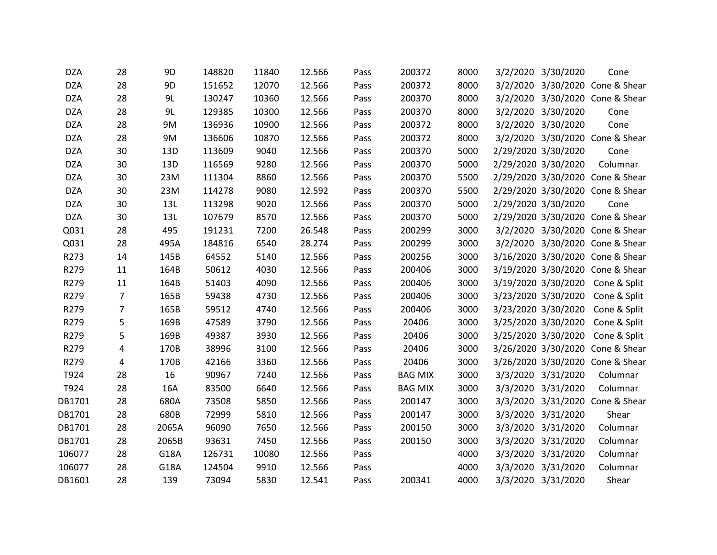| <b>DZA</b> | 28             | 9D             | 148820 | 11840 | 12.566 | Pass | 200372         | 8000 | 3/2/2020 3/30/2020<br>Cone          |  |
|------------|----------------|----------------|--------|-------|--------|------|----------------|------|-------------------------------------|--|
| <b>DZA</b> | 28             | 9 <sub>D</sub> | 151652 | 12070 | 12.566 | Pass | 200372         | 8000 | 3/2/2020 3/30/2020 Cone & Shear     |  |
| <b>DZA</b> | 28             | 9L             | 130247 | 10360 | 12.566 | Pass | 200370         | 8000 | 3/2/2020 3/30/2020 Cone & Shear     |  |
| <b>DZA</b> | 28             | 9L             | 129385 | 10300 | 12.566 | Pass | 200370         | 8000 | 3/2/2020 3/30/2020<br>Cone          |  |
| <b>DZA</b> | 28             | 9M             | 136936 | 10900 | 12.566 | Pass | 200372         | 8000 | 3/2/2020 3/30/2020<br>Cone          |  |
| <b>DZA</b> | 28             | 9M             | 136606 | 10870 | 12.566 | Pass | 200372         | 8000 | 3/2/2020 3/30/2020 Cone & Shear     |  |
| <b>DZA</b> | 30             | 13D            | 113609 | 9040  | 12.566 | Pass | 200370         | 5000 | 2/29/2020 3/30/2020<br>Cone         |  |
| <b>DZA</b> | 30             | 13D            | 116569 | 9280  | 12.566 | Pass | 200370         | 5000 | 2/29/2020 3/30/2020<br>Columnar     |  |
| <b>DZA</b> | 30             | 23M            | 111304 | 8860  | 12.566 | Pass | 200370         | 5500 | 2/29/2020 3/30/2020 Cone & Shear    |  |
| <b>DZA</b> | 30             | 23M            | 114278 | 9080  | 12.592 | Pass | 200370         | 5500 | 2/29/2020 3/30/2020 Cone & Shear    |  |
| <b>DZA</b> | 30             | 13L            | 113298 | 9020  | 12.566 | Pass | 200370         | 5000 | 2/29/2020 3/30/2020<br>Cone         |  |
| <b>DZA</b> | 30             | 13L            | 107679 | 8570  | 12.566 | Pass | 200370         | 5000 | 2/29/2020 3/30/2020 Cone & Shear    |  |
| Q031       | 28             | 495            | 191231 | 7200  | 26.548 | Pass | 200299         | 3000 | 3/2/2020 3/30/2020 Cone & Shear     |  |
| Q031       | 28             | 495A           | 184816 | 6540  | 28.274 | Pass | 200299         | 3000 | 3/2/2020 3/30/2020 Cone & Shear     |  |
| R273       | 14             | 145B           | 64552  | 5140  | 12.566 | Pass | 200256         | 3000 | 3/16/2020 3/30/2020 Cone & Shear    |  |
| R279       | 11             | 164B           | 50612  | 4030  | 12.566 | Pass | 200406         | 3000 | 3/19/2020 3/30/2020 Cone & Shear    |  |
| R279       | 11             | 164B           | 51403  | 4090  | 12.566 | Pass | 200406         | 3000 | 3/19/2020 3/30/2020<br>Cone & Split |  |
| R279       | $\overline{7}$ | 165B           | 59438  | 4730  | 12.566 | Pass | 200406         | 3000 | 3/23/2020 3/30/2020<br>Cone & Split |  |
| R279       | 7              | 165B           | 59512  | 4740  | 12.566 | Pass | 200406         | 3000 | 3/23/2020 3/30/2020<br>Cone & Split |  |
| R279       | 5              | 169B           | 47589  | 3790  | 12.566 | Pass | 20406          | 3000 | 3/25/2020 3/30/2020<br>Cone & Split |  |
| R279       | 5              | 169B           | 49387  | 3930  | 12.566 | Pass | 20406          | 3000 | 3/25/2020 3/30/2020<br>Cone & Split |  |
| R279       | 4              | 170B           | 38996  | 3100  | 12.566 | Pass | 20406          | 3000 | 3/26/2020 3/30/2020<br>Cone & Shear |  |
| R279       | 4              | 170B           | 42166  | 3360  | 12.566 | Pass | 20406          | 3000 | 3/26/2020 3/30/2020 Cone & Shear    |  |
| T924       | 28             | 16             | 90967  | 7240  | 12.566 | Pass | <b>BAG MIX</b> | 3000 | 3/3/2020 3/31/2020<br>Columnar      |  |
| T924       | 28             | 16A            | 83500  | 6640  | 12.566 | Pass | <b>BAG MIX</b> | 3000 | 3/3/2020 3/31/2020<br>Columnar      |  |
| DB1701     | 28             | 680A           | 73508  | 5850  | 12.566 | Pass | 200147         | 3000 | 3/3/2020 3/31/2020 Cone & Shear     |  |
| DB1701     | 28             | 680B           | 72999  | 5810  | 12.566 | Pass | 200147         | 3000 | 3/3/2020 3/31/2020<br>Shear         |  |
| DB1701     | 28             | 2065A          | 96090  | 7650  | 12.566 | Pass | 200150         | 3000 | 3/3/2020 3/31/2020<br>Columnar      |  |
| DB1701     | 28             | 2065B          | 93631  | 7450  | 12.566 | Pass | 200150         | 3000 | 3/3/2020 3/31/2020<br>Columnar      |  |
| 106077     | 28             | G18A           | 126731 | 10080 | 12.566 | Pass |                | 4000 | 3/3/2020 3/31/2020<br>Columnar      |  |
| 106077     | 28             | G18A           | 124504 | 9910  | 12.566 | Pass |                | 4000 | 3/3/2020 3/31/2020<br>Columnar      |  |
| DB1601     | 28             | 139            | 73094  | 5830  | 12.541 | Pass | 200341         | 4000 | 3/3/2020 3/31/2020<br>Shear         |  |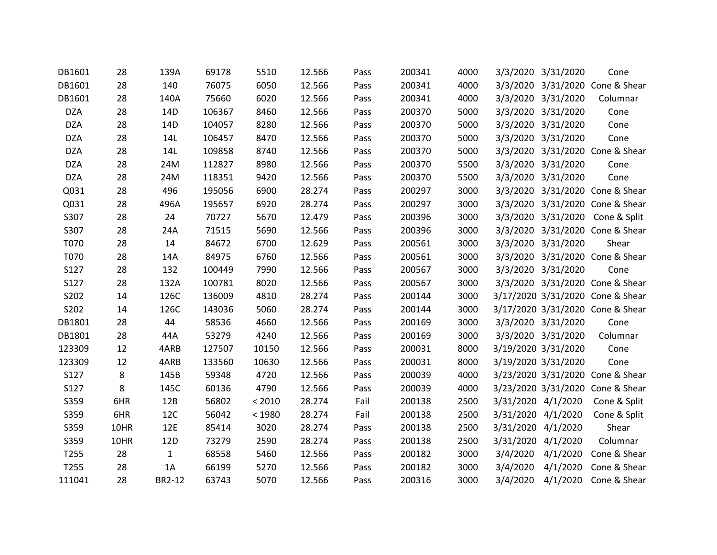| DB1601     | 28   | 139A         | 69178  | 5510   | 12.566 | Pass | 200341 | 4000 |                    | 3/3/2020 3/31/2020  | Cone                             |
|------------|------|--------------|--------|--------|--------|------|--------|------|--------------------|---------------------|----------------------------------|
| DB1601     | 28   | 140          | 76075  | 6050   | 12.566 | Pass | 200341 | 4000 |                    |                     | 3/3/2020 3/31/2020 Cone & Shear  |
| DB1601     | 28   | 140A         | 75660  | 6020   | 12.566 | Pass | 200341 | 4000 |                    | 3/3/2020 3/31/2020  | Columnar                         |
| <b>DZA</b> | 28   | 14D          | 106367 | 8460   | 12.566 | Pass | 200370 | 5000 |                    | 3/3/2020 3/31/2020  | Cone                             |
| <b>DZA</b> | 28   | 14D          | 104057 | 8280   | 12.566 | Pass | 200370 | 5000 |                    | 3/3/2020 3/31/2020  | Cone                             |
| <b>DZA</b> | 28   | 14L          | 106457 | 8470   | 12.566 | Pass | 200370 | 5000 |                    | 3/3/2020 3/31/2020  | Cone                             |
| <b>DZA</b> | 28   | 14L          | 109858 | 8740   | 12.566 | Pass | 200370 | 5000 |                    |                     | 3/3/2020 3/31/2020 Cone & Shear  |
| <b>DZA</b> | 28   | 24M          | 112827 | 8980   | 12.566 | Pass | 200370 | 5500 |                    | 3/3/2020 3/31/2020  | Cone                             |
| <b>DZA</b> | 28   | 24M          | 118351 | 9420   | 12.566 | Pass | 200370 | 5500 |                    | 3/3/2020 3/31/2020  | Cone                             |
| Q031       | 28   | 496          | 195056 | 6900   | 28.274 | Pass | 200297 | 3000 |                    |                     | 3/3/2020 3/31/2020 Cone & Shear  |
| Q031       | 28   | 496A         | 195657 | 6920   | 28.274 | Pass | 200297 | 3000 |                    |                     | 3/3/2020 3/31/2020 Cone & Shear  |
| S307       | 28   | 24           | 70727  | 5670   | 12.479 | Pass | 200396 | 3000 |                    |                     | 3/3/2020 3/31/2020 Cone & Split  |
| S307       | 28   | 24A          | 71515  | 5690   | 12.566 | Pass | 200396 | 3000 |                    |                     | 3/3/2020 3/31/2020 Cone & Shear  |
| T070       | 28   | 14           | 84672  | 6700   | 12.629 | Pass | 200561 | 3000 |                    | 3/3/2020 3/31/2020  | Shear                            |
| T070       | 28   | 14A          | 84975  | 6760   | 12.566 | Pass | 200561 | 3000 |                    |                     | 3/3/2020 3/31/2020 Cone & Shear  |
| S127       | 28   | 132          | 100449 | 7990   | 12.566 | Pass | 200567 | 3000 |                    | 3/3/2020 3/31/2020  | Cone                             |
| S127       | 28   | 132A         | 100781 | 8020   | 12.566 | Pass | 200567 | 3000 |                    |                     | 3/3/2020 3/31/2020 Cone & Shear  |
| S202       | 14   | 126C         | 136009 | 4810   | 28.274 | Pass | 200144 | 3000 |                    |                     | 3/17/2020 3/31/2020 Cone & Shear |
| S202       | 14   | 126C         | 143036 | 5060   | 28.274 | Pass | 200144 | 3000 |                    |                     | 3/17/2020 3/31/2020 Cone & Shear |
| DB1801     | 28   | 44           | 58536  | 4660   | 12.566 | Pass | 200169 | 3000 |                    | 3/3/2020 3/31/2020  | Cone                             |
| DB1801     | 28   | 44A          | 53279  | 4240   | 12.566 | Pass | 200169 | 3000 |                    | 3/3/2020 3/31/2020  | Columnar                         |
| 123309     | 12   | 4ARB         | 127507 | 10150  | 12.566 | Pass | 200031 | 8000 |                    | 3/19/2020 3/31/2020 | Cone                             |
| 123309     | 12   | 4ARB         | 133560 | 10630  | 12.566 | Pass | 200031 | 8000 |                    | 3/19/2020 3/31/2020 | Cone                             |
| S127       | 8    | 145B         | 59348  | 4720   | 12.566 | Pass | 200039 | 4000 |                    |                     | 3/23/2020 3/31/2020 Cone & Shear |
| S127       | 8    | 145C         | 60136  | 4790   | 12.566 | Pass | 200039 | 4000 |                    |                     | 3/23/2020 3/31/2020 Cone & Shear |
| S359       | 6HR  | 12B          | 56802  | < 2010 | 28.274 | Fail | 200138 | 2500 | 3/31/2020 4/1/2020 |                     | Cone & Split                     |
| S359       | 6HR  | 12C          | 56042  | < 1980 | 28.274 | Fail | 200138 | 2500 | 3/31/2020 4/1/2020 |                     | Cone & Split                     |
| S359       | 10HR | 12E          | 85414  | 3020   | 28.274 | Pass | 200138 | 2500 | 3/31/2020 4/1/2020 |                     | Shear                            |
| S359       | 10HR | 12D          | 73279  | 2590   | 28.274 | Pass | 200138 | 2500 | 3/31/2020 4/1/2020 |                     | Columnar                         |
| T255       | 28   | $\mathbf{1}$ | 68558  | 5460   | 12.566 | Pass | 200182 | 3000 | 3/4/2020           | 4/1/2020            | Cone & Shear                     |
| T255       | 28   | 1A           | 66199  | 5270   | 12.566 | Pass | 200182 | 3000 | 3/4/2020           | 4/1/2020            | Cone & Shear                     |
| 111041     | 28   | BR2-12       | 63743  | 5070   | 12.566 | Pass | 200316 | 3000 | 3/4/2020           |                     | 4/1/2020 Cone & Shear            |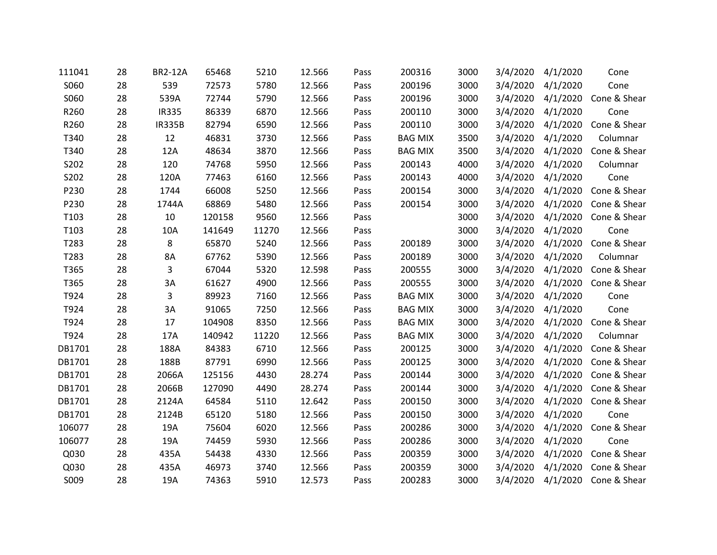| 111041 | 28 | <b>BR2-12A</b> | 65468  | 5210  | 12.566 | Pass | 200316         | 3000 | 3/4/2020 | 4/1/2020 | Cone                  |
|--------|----|----------------|--------|-------|--------|------|----------------|------|----------|----------|-----------------------|
| S060   | 28 | 539            | 72573  | 5780  | 12.566 | Pass | 200196         | 3000 | 3/4/2020 | 4/1/2020 | Cone                  |
| S060   | 28 | 539A           | 72744  | 5790  | 12.566 | Pass | 200196         | 3000 | 3/4/2020 | 4/1/2020 | Cone & Shear          |
| R260   | 28 | <b>IR335</b>   | 86339  | 6870  | 12.566 | Pass | 200110         | 3000 | 3/4/2020 | 4/1/2020 | Cone                  |
| R260   | 28 | <b>IR335B</b>  | 82794  | 6590  | 12.566 | Pass | 200110         | 3000 | 3/4/2020 | 4/1/2020 | Cone & Shear          |
| T340   | 28 | 12             | 46831  | 3730  | 12.566 | Pass | <b>BAG MIX</b> | 3500 | 3/4/2020 | 4/1/2020 | Columnar              |
| T340   | 28 | 12A            | 48634  | 3870  | 12.566 | Pass | <b>BAG MIX</b> | 3500 | 3/4/2020 | 4/1/2020 | Cone & Shear          |
| S202   | 28 | 120            | 74768  | 5950  | 12.566 | Pass | 200143         | 4000 | 3/4/2020 | 4/1/2020 | Columnar              |
| S202   | 28 | 120A           | 77463  | 6160  | 12.566 | Pass | 200143         | 4000 | 3/4/2020 | 4/1/2020 | Cone                  |
| P230   | 28 | 1744           | 66008  | 5250  | 12.566 | Pass | 200154         | 3000 | 3/4/2020 | 4/1/2020 | Cone & Shear          |
| P230   | 28 | 1744A          | 68869  | 5480  | 12.566 | Pass | 200154         | 3000 | 3/4/2020 | 4/1/2020 | Cone & Shear          |
| T103   | 28 | 10             | 120158 | 9560  | 12.566 | Pass |                | 3000 | 3/4/2020 | 4/1/2020 | Cone & Shear          |
| T103   | 28 | 10A            | 141649 | 11270 | 12.566 | Pass |                | 3000 | 3/4/2020 | 4/1/2020 | Cone                  |
| T283   | 28 | 8              | 65870  | 5240  | 12.566 | Pass | 200189         | 3000 | 3/4/2020 | 4/1/2020 | Cone & Shear          |
| T283   | 28 | 8A             | 67762  | 5390  | 12.566 | Pass | 200189         | 3000 | 3/4/2020 | 4/1/2020 | Columnar              |
| T365   | 28 | 3              | 67044  | 5320  | 12.598 | Pass | 200555         | 3000 | 3/4/2020 | 4/1/2020 | Cone & Shear          |
| T365   | 28 | 3A             | 61627  | 4900  | 12.566 | Pass | 200555         | 3000 | 3/4/2020 | 4/1/2020 | Cone & Shear          |
| T924   | 28 | 3              | 89923  | 7160  | 12.566 | Pass | <b>BAG MIX</b> | 3000 | 3/4/2020 | 4/1/2020 | Cone                  |
| T924   | 28 | 3A             | 91065  | 7250  | 12.566 | Pass | <b>BAG MIX</b> | 3000 | 3/4/2020 | 4/1/2020 | Cone                  |
| T924   | 28 | 17             | 104908 | 8350  | 12.566 | Pass | <b>BAG MIX</b> | 3000 | 3/4/2020 | 4/1/2020 | Cone & Shear          |
| T924   | 28 | 17A            | 140942 | 11220 | 12.566 | Pass | <b>BAG MIX</b> | 3000 | 3/4/2020 | 4/1/2020 | Columnar              |
| DB1701 | 28 | 188A           | 84383  | 6710  | 12.566 | Pass | 200125         | 3000 | 3/4/2020 | 4/1/2020 | Cone & Shear          |
| DB1701 | 28 | 188B           | 87791  | 6990  | 12.566 | Pass | 200125         | 3000 | 3/4/2020 | 4/1/2020 | Cone & Shear          |
| DB1701 | 28 | 2066A          | 125156 | 4430  | 28.274 | Pass | 200144         | 3000 | 3/4/2020 | 4/1/2020 | Cone & Shear          |
| DB1701 | 28 | 2066B          | 127090 | 4490  | 28.274 | Pass | 200144         | 3000 | 3/4/2020 | 4/1/2020 | Cone & Shear          |
| DB1701 | 28 | 2124A          | 64584  | 5110  | 12.642 | Pass | 200150         | 3000 | 3/4/2020 |          | 4/1/2020 Cone & Shear |
| DB1701 | 28 | 2124B          | 65120  | 5180  | 12.566 | Pass | 200150         | 3000 | 3/4/2020 | 4/1/2020 | Cone                  |
| 106077 | 28 | 19A            | 75604  | 6020  | 12.566 | Pass | 200286         | 3000 | 3/4/2020 | 4/1/2020 | Cone & Shear          |
| 106077 | 28 | 19A            | 74459  | 5930  | 12.566 | Pass | 200286         | 3000 | 3/4/2020 | 4/1/2020 | Cone                  |
| Q030   | 28 | 435A           | 54438  | 4330  | 12.566 | Pass | 200359         | 3000 | 3/4/2020 | 4/1/2020 | Cone & Shear          |
| Q030   | 28 | 435A           | 46973  | 3740  | 12.566 | Pass | 200359         | 3000 | 3/4/2020 | 4/1/2020 | Cone & Shear          |
| S009   | 28 | 19A            | 74363  | 5910  | 12.573 | Pass | 200283         | 3000 | 3/4/2020 |          | 4/1/2020 Cone & Shear |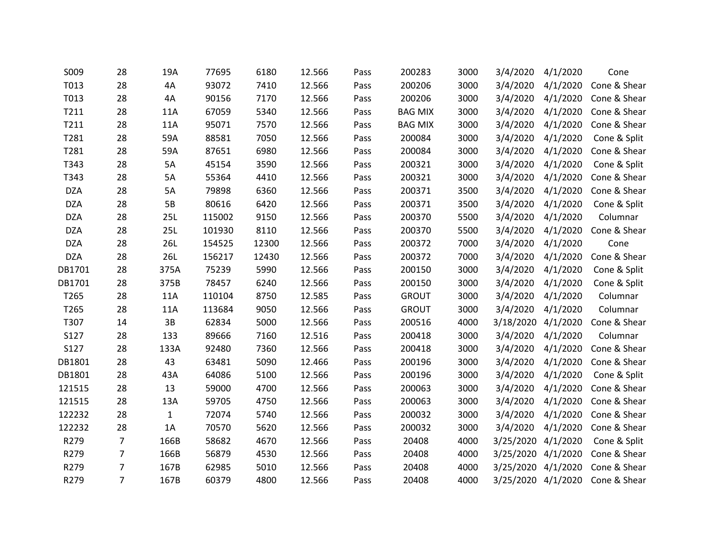| 93072<br>T013<br>28<br>4A<br>7410<br>12.566<br>200206<br>3000<br>3/4/2020<br>4/1/2020<br>Pass<br>T013<br>28<br>90156<br>7170<br>200206<br>3000<br>3/4/2020<br>4/1/2020<br>4A<br>12.566<br>Pass<br>28<br>3/4/2020<br>4/1/2020<br>T211<br>11A<br>67059<br>5340<br>12.566<br><b>BAG MIX</b><br>3000<br>Pass<br>T211<br>28<br>95071<br>7570<br>3000<br>3/4/2020<br>4/1/2020<br>11A<br>12.566<br><b>BAG MIX</b><br>Pass<br>T281<br>28<br>59A<br>3000<br>88581<br>7050<br>12.566<br>200084<br>3/4/2020<br>4/1/2020<br>Pass<br>4/1/2020<br>T281<br>28<br>59A<br>87651<br>6980<br>12.566<br>200084<br>3000<br>3/4/2020<br>Pass<br>T343<br>4/1/2020<br>28<br>5A<br>45154<br>3590<br>12.566<br>200321<br>3000<br>3/4/2020<br>Pass<br>28<br>55364<br>200321<br>3000<br>3/4/2020<br>4/1/2020<br>T343<br>5A<br>4410<br>12.566<br>Pass<br><b>DZA</b><br>28<br>5A<br>79898<br>6360<br>3500<br>3/4/2020<br>4/1/2020<br>12.566<br>Pass<br>200371<br><b>DZA</b><br>28<br>5B<br>80616<br>6420<br>12.566<br>200371<br>3500<br>3/4/2020<br>4/1/2020<br>Pass<br>28<br>5500<br>3/4/2020<br>4/1/2020<br><b>DZA</b><br>25L<br>115002<br>9150<br>12.566<br>200370<br>Pass<br>3/4/2020<br>4/1/2020<br><b>DZA</b><br>28<br>25L<br>101930<br>8110<br>12.566<br>200370<br>5500<br>Pass<br><b>DZA</b><br>28<br>26L<br>154525<br>7000<br>3/4/2020<br>4/1/2020<br>12300<br>12.566<br>Pass<br>200372<br><b>DZA</b><br>28<br>26L<br>156217<br>12.566<br>7000<br>3/4/2020<br>4/1/2020<br>12430<br>200372<br>Pass<br>DB1701<br>28<br>375A<br>75239<br>5990<br>12.566<br>200150<br>3000<br>3/4/2020<br>4/1/2020<br>Pass<br>3000<br>DB1701<br>28<br>375B<br>78457<br>6240<br>12.566<br>200150<br>3/4/2020<br>4/1/2020<br>Pass<br>28<br>11A<br>4/1/2020<br>T265<br>110104<br>8750<br>12.585<br><b>GROUT</b><br>3000<br>3/4/2020<br>Pass<br>T265<br>28<br>9050<br><b>GROUT</b><br>3/4/2020<br>4/1/2020<br>11A<br>113684<br>12.566<br>3000<br>Pass<br>T307<br>3B<br>62834<br>5000<br>200516<br>4000<br>3/18/2020<br>14<br>12.566<br>Pass<br>4/1/2020<br>S127<br>28<br>133<br>89666<br>7160<br>200418<br>3000<br>3/4/2020<br>4/1/2020<br>12.516<br>Pass<br>S127<br>3/4/2020<br>28<br>133A<br>92480<br>7360<br>12.566<br>200418<br>3000<br>4/1/2020<br>Pass<br>DB1801<br>43<br>3000<br>28<br>63481<br>5090<br>12.466<br>200196<br>3/4/2020<br>4/1/2020<br>Pass<br>64086<br>3/4/2020<br>4/1/2020<br>DB1801<br>28<br>43A<br>5100<br>12.566<br>200196<br>3000<br>Pass<br>28<br>13<br>59000<br>3/4/2020<br>4/1/2020<br>121515<br>4700<br>12.566<br>Pass<br>200063<br>3000<br>121515<br>28<br>13A<br>59705<br>4750<br>12.566<br>200063<br>3000<br>3/4/2020<br>4/1/2020<br>Pass<br>28<br>122232<br>$\mathbf{1}$<br>72074<br>5740<br>3000<br>3/4/2020<br>4/1/2020<br>12.566<br>200032<br>Pass<br>122232<br>28<br>1A<br>70570<br>5620<br>12.566<br>200032<br>3000<br>3/4/2020<br>4/1/2020<br>Pass<br>R279<br>7<br>166B<br>58682<br>20408<br>4000<br>4/1/2020<br>4670<br>12.566<br>3/25/2020<br>Pass<br>7<br>4/1/2020<br>R279<br>166B<br>56879<br>4530<br>12.566<br>Pass<br>20408<br>4000<br>3/25/2020<br>R279<br>7<br>167B<br>20408<br>3/25/2020 4/1/2020<br>62985<br>5010<br>12.566<br>Pass<br>4000<br>$\overline{7}$<br>4000<br>R279<br>167B<br>60379<br>4800<br>12.566<br>20408<br>3/25/2020 4/1/2020<br>Pass | S009 | 28 | 19A | 77695 | 6180 | 12.566 | Pass | 200283 | 3000 | 3/4/2020 | 4/1/2020 | Cone         |
|--------------------------------------------------------------------------------------------------------------------------------------------------------------------------------------------------------------------------------------------------------------------------------------------------------------------------------------------------------------------------------------------------------------------------------------------------------------------------------------------------------------------------------------------------------------------------------------------------------------------------------------------------------------------------------------------------------------------------------------------------------------------------------------------------------------------------------------------------------------------------------------------------------------------------------------------------------------------------------------------------------------------------------------------------------------------------------------------------------------------------------------------------------------------------------------------------------------------------------------------------------------------------------------------------------------------------------------------------------------------------------------------------------------------------------------------------------------------------------------------------------------------------------------------------------------------------------------------------------------------------------------------------------------------------------------------------------------------------------------------------------------------------------------------------------------------------------------------------------------------------------------------------------------------------------------------------------------------------------------------------------------------------------------------------------------------------------------------------------------------------------------------------------------------------------------------------------------------------------------------------------------------------------------------------------------------------------------------------------------------------------------------------------------------------------------------------------------------------------------------------------------------------------------------------------------------------------------------------------------------------------------------------------------------------------------------------------------------------------------------------------------------------------------------------------------------------------------------------------------------------------------------------------------------------------------------------------------------------------------------------------------------------------------------------------------------------------------------------------------------------------------------------------------------------------------------------------------------------------------------------------------|------|----|-----|-------|------|--------|------|--------|------|----------|----------|--------------|
|                                                                                                                                                                                                                                                                                                                                                                                                                                                                                                                                                                                                                                                                                                                                                                                                                                                                                                                                                                                                                                                                                                                                                                                                                                                                                                                                                                                                                                                                                                                                                                                                                                                                                                                                                                                                                                                                                                                                                                                                                                                                                                                                                                                                                                                                                                                                                                                                                                                                                                                                                                                                                                                                                                                                                                                                                                                                                                                                                                                                                                                                                                                                                                                                                                                              |      |    |     |       |      |        |      |        |      |          |          | Cone & Shear |
|                                                                                                                                                                                                                                                                                                                                                                                                                                                                                                                                                                                                                                                                                                                                                                                                                                                                                                                                                                                                                                                                                                                                                                                                                                                                                                                                                                                                                                                                                                                                                                                                                                                                                                                                                                                                                                                                                                                                                                                                                                                                                                                                                                                                                                                                                                                                                                                                                                                                                                                                                                                                                                                                                                                                                                                                                                                                                                                                                                                                                                                                                                                                                                                                                                                              |      |    |     |       |      |        |      |        |      |          |          | Cone & Shear |
|                                                                                                                                                                                                                                                                                                                                                                                                                                                                                                                                                                                                                                                                                                                                                                                                                                                                                                                                                                                                                                                                                                                                                                                                                                                                                                                                                                                                                                                                                                                                                                                                                                                                                                                                                                                                                                                                                                                                                                                                                                                                                                                                                                                                                                                                                                                                                                                                                                                                                                                                                                                                                                                                                                                                                                                                                                                                                                                                                                                                                                                                                                                                                                                                                                                              |      |    |     |       |      |        |      |        |      |          |          | Cone & Shear |
|                                                                                                                                                                                                                                                                                                                                                                                                                                                                                                                                                                                                                                                                                                                                                                                                                                                                                                                                                                                                                                                                                                                                                                                                                                                                                                                                                                                                                                                                                                                                                                                                                                                                                                                                                                                                                                                                                                                                                                                                                                                                                                                                                                                                                                                                                                                                                                                                                                                                                                                                                                                                                                                                                                                                                                                                                                                                                                                                                                                                                                                                                                                                                                                                                                                              |      |    |     |       |      |        |      |        |      |          |          | Cone & Shear |
|                                                                                                                                                                                                                                                                                                                                                                                                                                                                                                                                                                                                                                                                                                                                                                                                                                                                                                                                                                                                                                                                                                                                                                                                                                                                                                                                                                                                                                                                                                                                                                                                                                                                                                                                                                                                                                                                                                                                                                                                                                                                                                                                                                                                                                                                                                                                                                                                                                                                                                                                                                                                                                                                                                                                                                                                                                                                                                                                                                                                                                                                                                                                                                                                                                                              |      |    |     |       |      |        |      |        |      |          |          | Cone & Split |
|                                                                                                                                                                                                                                                                                                                                                                                                                                                                                                                                                                                                                                                                                                                                                                                                                                                                                                                                                                                                                                                                                                                                                                                                                                                                                                                                                                                                                                                                                                                                                                                                                                                                                                                                                                                                                                                                                                                                                                                                                                                                                                                                                                                                                                                                                                                                                                                                                                                                                                                                                                                                                                                                                                                                                                                                                                                                                                                                                                                                                                                                                                                                                                                                                                                              |      |    |     |       |      |        |      |        |      |          |          | Cone & Shear |
|                                                                                                                                                                                                                                                                                                                                                                                                                                                                                                                                                                                                                                                                                                                                                                                                                                                                                                                                                                                                                                                                                                                                                                                                                                                                                                                                                                                                                                                                                                                                                                                                                                                                                                                                                                                                                                                                                                                                                                                                                                                                                                                                                                                                                                                                                                                                                                                                                                                                                                                                                                                                                                                                                                                                                                                                                                                                                                                                                                                                                                                                                                                                                                                                                                                              |      |    |     |       |      |        |      |        |      |          |          | Cone & Split |
|                                                                                                                                                                                                                                                                                                                                                                                                                                                                                                                                                                                                                                                                                                                                                                                                                                                                                                                                                                                                                                                                                                                                                                                                                                                                                                                                                                                                                                                                                                                                                                                                                                                                                                                                                                                                                                                                                                                                                                                                                                                                                                                                                                                                                                                                                                                                                                                                                                                                                                                                                                                                                                                                                                                                                                                                                                                                                                                                                                                                                                                                                                                                                                                                                                                              |      |    |     |       |      |        |      |        |      |          |          | Cone & Shear |
|                                                                                                                                                                                                                                                                                                                                                                                                                                                                                                                                                                                                                                                                                                                                                                                                                                                                                                                                                                                                                                                                                                                                                                                                                                                                                                                                                                                                                                                                                                                                                                                                                                                                                                                                                                                                                                                                                                                                                                                                                                                                                                                                                                                                                                                                                                                                                                                                                                                                                                                                                                                                                                                                                                                                                                                                                                                                                                                                                                                                                                                                                                                                                                                                                                                              |      |    |     |       |      |        |      |        |      |          |          | Cone & Shear |
|                                                                                                                                                                                                                                                                                                                                                                                                                                                                                                                                                                                                                                                                                                                                                                                                                                                                                                                                                                                                                                                                                                                                                                                                                                                                                                                                                                                                                                                                                                                                                                                                                                                                                                                                                                                                                                                                                                                                                                                                                                                                                                                                                                                                                                                                                                                                                                                                                                                                                                                                                                                                                                                                                                                                                                                                                                                                                                                                                                                                                                                                                                                                                                                                                                                              |      |    |     |       |      |        |      |        |      |          |          | Cone & Split |
|                                                                                                                                                                                                                                                                                                                                                                                                                                                                                                                                                                                                                                                                                                                                                                                                                                                                                                                                                                                                                                                                                                                                                                                                                                                                                                                                                                                                                                                                                                                                                                                                                                                                                                                                                                                                                                                                                                                                                                                                                                                                                                                                                                                                                                                                                                                                                                                                                                                                                                                                                                                                                                                                                                                                                                                                                                                                                                                                                                                                                                                                                                                                                                                                                                                              |      |    |     |       |      |        |      |        |      |          |          | Columnar     |
|                                                                                                                                                                                                                                                                                                                                                                                                                                                                                                                                                                                                                                                                                                                                                                                                                                                                                                                                                                                                                                                                                                                                                                                                                                                                                                                                                                                                                                                                                                                                                                                                                                                                                                                                                                                                                                                                                                                                                                                                                                                                                                                                                                                                                                                                                                                                                                                                                                                                                                                                                                                                                                                                                                                                                                                                                                                                                                                                                                                                                                                                                                                                                                                                                                                              |      |    |     |       |      |        |      |        |      |          |          | Cone & Shear |
|                                                                                                                                                                                                                                                                                                                                                                                                                                                                                                                                                                                                                                                                                                                                                                                                                                                                                                                                                                                                                                                                                                                                                                                                                                                                                                                                                                                                                                                                                                                                                                                                                                                                                                                                                                                                                                                                                                                                                                                                                                                                                                                                                                                                                                                                                                                                                                                                                                                                                                                                                                                                                                                                                                                                                                                                                                                                                                                                                                                                                                                                                                                                                                                                                                                              |      |    |     |       |      |        |      |        |      |          |          | Cone         |
|                                                                                                                                                                                                                                                                                                                                                                                                                                                                                                                                                                                                                                                                                                                                                                                                                                                                                                                                                                                                                                                                                                                                                                                                                                                                                                                                                                                                                                                                                                                                                                                                                                                                                                                                                                                                                                                                                                                                                                                                                                                                                                                                                                                                                                                                                                                                                                                                                                                                                                                                                                                                                                                                                                                                                                                                                                                                                                                                                                                                                                                                                                                                                                                                                                                              |      |    |     |       |      |        |      |        |      |          |          | Cone & Shear |
|                                                                                                                                                                                                                                                                                                                                                                                                                                                                                                                                                                                                                                                                                                                                                                                                                                                                                                                                                                                                                                                                                                                                                                                                                                                                                                                                                                                                                                                                                                                                                                                                                                                                                                                                                                                                                                                                                                                                                                                                                                                                                                                                                                                                                                                                                                                                                                                                                                                                                                                                                                                                                                                                                                                                                                                                                                                                                                                                                                                                                                                                                                                                                                                                                                                              |      |    |     |       |      |        |      |        |      |          |          | Cone & Split |
|                                                                                                                                                                                                                                                                                                                                                                                                                                                                                                                                                                                                                                                                                                                                                                                                                                                                                                                                                                                                                                                                                                                                                                                                                                                                                                                                                                                                                                                                                                                                                                                                                                                                                                                                                                                                                                                                                                                                                                                                                                                                                                                                                                                                                                                                                                                                                                                                                                                                                                                                                                                                                                                                                                                                                                                                                                                                                                                                                                                                                                                                                                                                                                                                                                                              |      |    |     |       |      |        |      |        |      |          |          | Cone & Split |
|                                                                                                                                                                                                                                                                                                                                                                                                                                                                                                                                                                                                                                                                                                                                                                                                                                                                                                                                                                                                                                                                                                                                                                                                                                                                                                                                                                                                                                                                                                                                                                                                                                                                                                                                                                                                                                                                                                                                                                                                                                                                                                                                                                                                                                                                                                                                                                                                                                                                                                                                                                                                                                                                                                                                                                                                                                                                                                                                                                                                                                                                                                                                                                                                                                                              |      |    |     |       |      |        |      |        |      |          |          | Columnar     |
|                                                                                                                                                                                                                                                                                                                                                                                                                                                                                                                                                                                                                                                                                                                                                                                                                                                                                                                                                                                                                                                                                                                                                                                                                                                                                                                                                                                                                                                                                                                                                                                                                                                                                                                                                                                                                                                                                                                                                                                                                                                                                                                                                                                                                                                                                                                                                                                                                                                                                                                                                                                                                                                                                                                                                                                                                                                                                                                                                                                                                                                                                                                                                                                                                                                              |      |    |     |       |      |        |      |        |      |          |          | Columnar     |
|                                                                                                                                                                                                                                                                                                                                                                                                                                                                                                                                                                                                                                                                                                                                                                                                                                                                                                                                                                                                                                                                                                                                                                                                                                                                                                                                                                                                                                                                                                                                                                                                                                                                                                                                                                                                                                                                                                                                                                                                                                                                                                                                                                                                                                                                                                                                                                                                                                                                                                                                                                                                                                                                                                                                                                                                                                                                                                                                                                                                                                                                                                                                                                                                                                                              |      |    |     |       |      |        |      |        |      |          |          | Cone & Shear |
|                                                                                                                                                                                                                                                                                                                                                                                                                                                                                                                                                                                                                                                                                                                                                                                                                                                                                                                                                                                                                                                                                                                                                                                                                                                                                                                                                                                                                                                                                                                                                                                                                                                                                                                                                                                                                                                                                                                                                                                                                                                                                                                                                                                                                                                                                                                                                                                                                                                                                                                                                                                                                                                                                                                                                                                                                                                                                                                                                                                                                                                                                                                                                                                                                                                              |      |    |     |       |      |        |      |        |      |          |          | Columnar     |
|                                                                                                                                                                                                                                                                                                                                                                                                                                                                                                                                                                                                                                                                                                                                                                                                                                                                                                                                                                                                                                                                                                                                                                                                                                                                                                                                                                                                                                                                                                                                                                                                                                                                                                                                                                                                                                                                                                                                                                                                                                                                                                                                                                                                                                                                                                                                                                                                                                                                                                                                                                                                                                                                                                                                                                                                                                                                                                                                                                                                                                                                                                                                                                                                                                                              |      |    |     |       |      |        |      |        |      |          |          | Cone & Shear |
|                                                                                                                                                                                                                                                                                                                                                                                                                                                                                                                                                                                                                                                                                                                                                                                                                                                                                                                                                                                                                                                                                                                                                                                                                                                                                                                                                                                                                                                                                                                                                                                                                                                                                                                                                                                                                                                                                                                                                                                                                                                                                                                                                                                                                                                                                                                                                                                                                                                                                                                                                                                                                                                                                                                                                                                                                                                                                                                                                                                                                                                                                                                                                                                                                                                              |      |    |     |       |      |        |      |        |      |          |          | Cone & Shear |
|                                                                                                                                                                                                                                                                                                                                                                                                                                                                                                                                                                                                                                                                                                                                                                                                                                                                                                                                                                                                                                                                                                                                                                                                                                                                                                                                                                                                                                                                                                                                                                                                                                                                                                                                                                                                                                                                                                                                                                                                                                                                                                                                                                                                                                                                                                                                                                                                                                                                                                                                                                                                                                                                                                                                                                                                                                                                                                                                                                                                                                                                                                                                                                                                                                                              |      |    |     |       |      |        |      |        |      |          |          | Cone & Split |
|                                                                                                                                                                                                                                                                                                                                                                                                                                                                                                                                                                                                                                                                                                                                                                                                                                                                                                                                                                                                                                                                                                                                                                                                                                                                                                                                                                                                                                                                                                                                                                                                                                                                                                                                                                                                                                                                                                                                                                                                                                                                                                                                                                                                                                                                                                                                                                                                                                                                                                                                                                                                                                                                                                                                                                                                                                                                                                                                                                                                                                                                                                                                                                                                                                                              |      |    |     |       |      |        |      |        |      |          |          | Cone & Shear |
|                                                                                                                                                                                                                                                                                                                                                                                                                                                                                                                                                                                                                                                                                                                                                                                                                                                                                                                                                                                                                                                                                                                                                                                                                                                                                                                                                                                                                                                                                                                                                                                                                                                                                                                                                                                                                                                                                                                                                                                                                                                                                                                                                                                                                                                                                                                                                                                                                                                                                                                                                                                                                                                                                                                                                                                                                                                                                                                                                                                                                                                                                                                                                                                                                                                              |      |    |     |       |      |        |      |        |      |          |          | Cone & Shear |
|                                                                                                                                                                                                                                                                                                                                                                                                                                                                                                                                                                                                                                                                                                                                                                                                                                                                                                                                                                                                                                                                                                                                                                                                                                                                                                                                                                                                                                                                                                                                                                                                                                                                                                                                                                                                                                                                                                                                                                                                                                                                                                                                                                                                                                                                                                                                                                                                                                                                                                                                                                                                                                                                                                                                                                                                                                                                                                                                                                                                                                                                                                                                                                                                                                                              |      |    |     |       |      |        |      |        |      |          |          | Cone & Shear |
|                                                                                                                                                                                                                                                                                                                                                                                                                                                                                                                                                                                                                                                                                                                                                                                                                                                                                                                                                                                                                                                                                                                                                                                                                                                                                                                                                                                                                                                                                                                                                                                                                                                                                                                                                                                                                                                                                                                                                                                                                                                                                                                                                                                                                                                                                                                                                                                                                                                                                                                                                                                                                                                                                                                                                                                                                                                                                                                                                                                                                                                                                                                                                                                                                                                              |      |    |     |       |      |        |      |        |      |          |          | Cone & Shear |
|                                                                                                                                                                                                                                                                                                                                                                                                                                                                                                                                                                                                                                                                                                                                                                                                                                                                                                                                                                                                                                                                                                                                                                                                                                                                                                                                                                                                                                                                                                                                                                                                                                                                                                                                                                                                                                                                                                                                                                                                                                                                                                                                                                                                                                                                                                                                                                                                                                                                                                                                                                                                                                                                                                                                                                                                                                                                                                                                                                                                                                                                                                                                                                                                                                                              |      |    |     |       |      |        |      |        |      |          |          | Cone & Split |
|                                                                                                                                                                                                                                                                                                                                                                                                                                                                                                                                                                                                                                                                                                                                                                                                                                                                                                                                                                                                                                                                                                                                                                                                                                                                                                                                                                                                                                                                                                                                                                                                                                                                                                                                                                                                                                                                                                                                                                                                                                                                                                                                                                                                                                                                                                                                                                                                                                                                                                                                                                                                                                                                                                                                                                                                                                                                                                                                                                                                                                                                                                                                                                                                                                                              |      |    |     |       |      |        |      |        |      |          |          | Cone & Shear |
|                                                                                                                                                                                                                                                                                                                                                                                                                                                                                                                                                                                                                                                                                                                                                                                                                                                                                                                                                                                                                                                                                                                                                                                                                                                                                                                                                                                                                                                                                                                                                                                                                                                                                                                                                                                                                                                                                                                                                                                                                                                                                                                                                                                                                                                                                                                                                                                                                                                                                                                                                                                                                                                                                                                                                                                                                                                                                                                                                                                                                                                                                                                                                                                                                                                              |      |    |     |       |      |        |      |        |      |          |          | Cone & Shear |
|                                                                                                                                                                                                                                                                                                                                                                                                                                                                                                                                                                                                                                                                                                                                                                                                                                                                                                                                                                                                                                                                                                                                                                                                                                                                                                                                                                                                                                                                                                                                                                                                                                                                                                                                                                                                                                                                                                                                                                                                                                                                                                                                                                                                                                                                                                                                                                                                                                                                                                                                                                                                                                                                                                                                                                                                                                                                                                                                                                                                                                                                                                                                                                                                                                                              |      |    |     |       |      |        |      |        |      |          |          | Cone & Shear |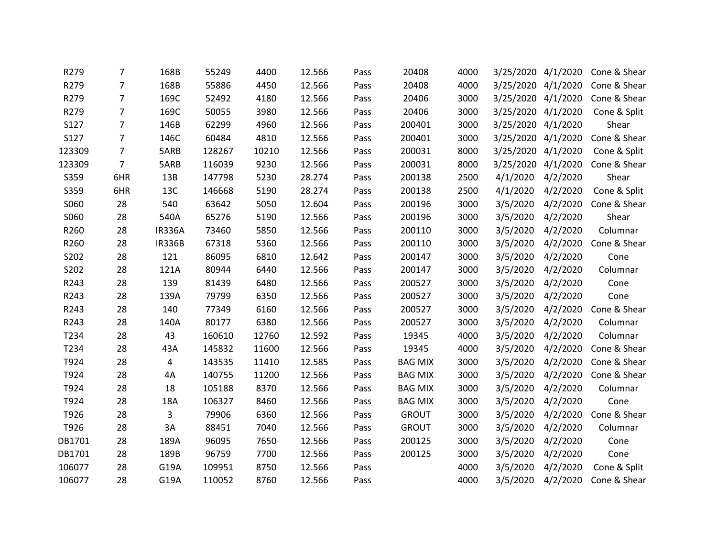| R279   | 7              | 168B          | 55249  | 4400  | 12.566 | Pass | 20408          | 4000 | 3/25/2020 4/1/2020 |          | Cone & Shear |
|--------|----------------|---------------|--------|-------|--------|------|----------------|------|--------------------|----------|--------------|
| R279   | $\overline{7}$ | 168B          | 55886  | 4450  | 12.566 | Pass | 20408          | 4000 | 3/25/2020 4/1/2020 |          | Cone & Shear |
| R279   | $\overline{7}$ | 169C          | 52492  | 4180  | 12.566 | Pass | 20406          | 3000 | 3/25/2020 4/1/2020 |          | Cone & Shear |
| R279   | $\overline{7}$ | 169C          | 50055  | 3980  | 12.566 | Pass | 20406          | 3000 | 3/25/2020 4/1/2020 |          | Cone & Split |
| S127   | $\overline{7}$ | 146B          | 62299  | 4960  | 12.566 | Pass | 200401         | 3000 | 3/25/2020 4/1/2020 |          | Shear        |
| S127   | $\overline{7}$ | 146C          | 60484  | 4810  | 12.566 | Pass | 200401         | 3000 | 3/25/2020 4/1/2020 |          | Cone & Shear |
| 123309 | $\overline{7}$ | 5ARB          | 128267 | 10210 | 12.566 | Pass | 200031         | 8000 | 3/25/2020 4/1/2020 |          | Cone & Split |
| 123309 | $\overline{7}$ | 5ARB          | 116039 | 9230  | 12.566 | Pass | 200031         | 8000 | 3/25/2020 4/1/2020 |          | Cone & Shear |
| S359   | 6HR            | 13B           | 147798 | 5230  | 28.274 | Pass | 200138         | 2500 | 4/1/2020           | 4/2/2020 | Shear        |
| S359   | 6HR            | 13C           | 146668 | 5190  | 28.274 | Pass | 200138         | 2500 | 4/1/2020           | 4/2/2020 | Cone & Split |
| S060   | 28             | 540           | 63642  | 5050  | 12.604 | Pass | 200196         | 3000 | 3/5/2020           | 4/2/2020 | Cone & Shear |
| S060   | 28             | 540A          | 65276  | 5190  | 12.566 | Pass | 200196         | 3000 | 3/5/2020           | 4/2/2020 | Shear        |
| R260   | 28             | <b>IR336A</b> | 73460  | 5850  | 12.566 | Pass | 200110         | 3000 | 3/5/2020           | 4/2/2020 | Columnar     |
| R260   | 28             | <b>IR336B</b> | 67318  | 5360  | 12.566 | Pass | 200110         | 3000 | 3/5/2020           | 4/2/2020 | Cone & Shear |
| S202   | 28             | 121           | 86095  | 6810  | 12.642 | Pass | 200147         | 3000 | 3/5/2020           | 4/2/2020 | Cone         |
| S202   | 28             | 121A          | 80944  | 6440  | 12.566 | Pass | 200147         | 3000 | 3/5/2020           | 4/2/2020 | Columnar     |
| R243   | 28             | 139           | 81439  | 6480  | 12.566 | Pass | 200527         | 3000 | 3/5/2020           | 4/2/2020 | Cone         |
| R243   | 28             | 139A          | 79799  | 6350  | 12.566 | Pass | 200527         | 3000 | 3/5/2020           | 4/2/2020 | Cone         |
| R243   | 28             | 140           | 77349  | 6160  | 12.566 | Pass | 200527         | 3000 | 3/5/2020           | 4/2/2020 | Cone & Shear |
| R243   | 28             | 140A          | 80177  | 6380  | 12.566 | Pass | 200527         | 3000 | 3/5/2020           | 4/2/2020 | Columnar     |
| T234   | 28             | 43            | 160610 | 12760 | 12.592 | Pass | 19345          | 4000 | 3/5/2020           | 4/2/2020 | Columnar     |
| T234   | 28             | 43A           | 145832 | 11600 | 12.566 | Pass | 19345          | 4000 | 3/5/2020           | 4/2/2020 | Cone & Shear |
| T924   | 28             | 4             | 143535 | 11410 | 12.585 | Pass | <b>BAG MIX</b> | 3000 | 3/5/2020           | 4/2/2020 | Cone & Shear |
| T924   | 28             | 4A            | 140755 | 11200 | 12.566 | Pass | <b>BAG MIX</b> | 3000 | 3/5/2020           | 4/2/2020 | Cone & Shear |
| T924   | 28             | 18            | 105188 | 8370  | 12.566 | Pass | <b>BAG MIX</b> | 3000 | 3/5/2020           | 4/2/2020 | Columnar     |
| T924   | 28             | 18A           | 106327 | 8460  | 12.566 | Pass | <b>BAG MIX</b> | 3000 | 3/5/2020           | 4/2/2020 | Cone         |
| T926   | 28             | 3             | 79906  | 6360  | 12.566 | Pass | <b>GROUT</b>   | 3000 | 3/5/2020           | 4/2/2020 | Cone & Shear |
| T926   | 28             | 3A            | 88451  | 7040  | 12.566 | Pass | <b>GROUT</b>   | 3000 | 3/5/2020           | 4/2/2020 | Columnar     |
| DB1701 | 28             | 189A          | 96095  | 7650  | 12.566 | Pass | 200125         | 3000 | 3/5/2020           | 4/2/2020 | Cone         |
| DB1701 | 28             | 189B          | 96759  | 7700  | 12.566 | Pass | 200125         | 3000 | 3/5/2020           | 4/2/2020 | Cone         |
| 106077 | 28             | G19A          | 109951 | 8750  | 12.566 | Pass |                | 4000 | 3/5/2020           | 4/2/2020 | Cone & Split |
| 106077 | 28             | G19A          | 110052 | 8760  | 12.566 | Pass |                | 4000 | 3/5/2020           | 4/2/2020 | Cone & Shear |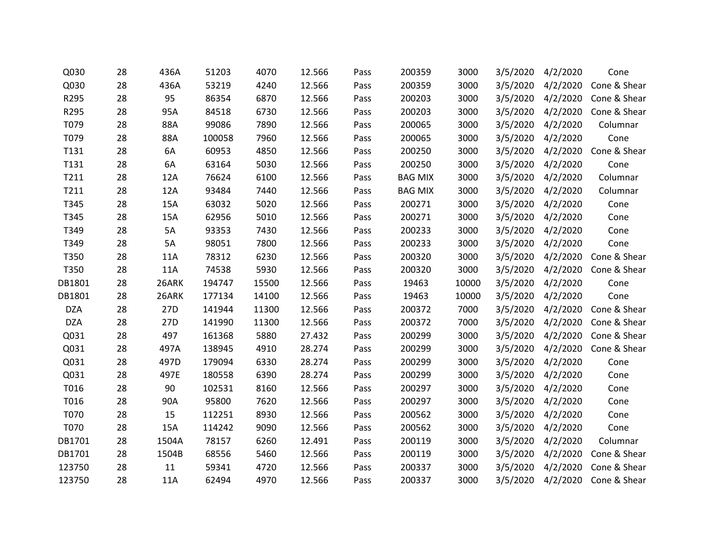|    |       |        |       | 12.566 | Pass | 200359         | 3000  | 3/5/2020 | 4/2/2020 | Cone                  |
|----|-------|--------|-------|--------|------|----------------|-------|----------|----------|-----------------------|
|    | 436A  | 53219  | 4240  | 12.566 | Pass | 200359         | 3000  | 3/5/2020 | 4/2/2020 | Cone & Shear          |
| 28 | 95    | 86354  | 6870  | 12.566 | Pass | 200203         | 3000  | 3/5/2020 | 4/2/2020 | Cone & Shear          |
| 28 | 95A   | 84518  | 6730  | 12.566 | Pass | 200203         | 3000  | 3/5/2020 | 4/2/2020 | Cone & Shear          |
| 28 | 88A   | 99086  | 7890  | 12.566 | Pass | 200065         | 3000  | 3/5/2020 | 4/2/2020 | Columnar              |
| 28 | 88A   | 100058 | 7960  | 12.566 | Pass | 200065         | 3000  | 3/5/2020 | 4/2/2020 | Cone                  |
| 28 | 6A    | 60953  | 4850  | 12.566 | Pass | 200250         | 3000  | 3/5/2020 | 4/2/2020 | Cone & Shear          |
| 28 | 6A    | 63164  | 5030  | 12.566 | Pass | 200250         | 3000  | 3/5/2020 | 4/2/2020 | Cone                  |
| 28 | 12A   | 76624  | 6100  | 12.566 | Pass | <b>BAG MIX</b> | 3000  | 3/5/2020 | 4/2/2020 | Columnar              |
| 28 | 12A   | 93484  | 7440  | 12.566 | Pass | <b>BAG MIX</b> | 3000  | 3/5/2020 | 4/2/2020 | Columnar              |
| 28 | 15A   | 63032  | 5020  | 12.566 | Pass | 200271         | 3000  | 3/5/2020 | 4/2/2020 | Cone                  |
| 28 | 15A   | 62956  | 5010  | 12.566 | Pass | 200271         | 3000  | 3/5/2020 | 4/2/2020 | Cone                  |
| 28 | 5A    | 93353  | 7430  | 12.566 | Pass | 200233         | 3000  | 3/5/2020 | 4/2/2020 | Cone                  |
| 28 | 5A    | 98051  | 7800  | 12.566 | Pass | 200233         | 3000  | 3/5/2020 | 4/2/2020 | Cone                  |
| 28 | 11A   | 78312  | 6230  | 12.566 | Pass | 200320         | 3000  | 3/5/2020 | 4/2/2020 | Cone & Shear          |
| 28 | 11A   | 74538  | 5930  | 12.566 | Pass | 200320         | 3000  | 3/5/2020 | 4/2/2020 | Cone & Shear          |
| 28 | 26ARK | 194747 | 15500 | 12.566 | Pass | 19463          | 10000 | 3/5/2020 | 4/2/2020 | Cone                  |
| 28 | 26ARK | 177134 | 14100 | 12.566 | Pass | 19463          | 10000 | 3/5/2020 | 4/2/2020 | Cone                  |
| 28 | 27D   | 141944 | 11300 | 12.566 | Pass | 200372         | 7000  | 3/5/2020 | 4/2/2020 | Cone & Shear          |
| 28 | 27D   | 141990 | 11300 | 12.566 | Pass | 200372         | 7000  | 3/5/2020 | 4/2/2020 | Cone & Shear          |
| 28 | 497   | 161368 | 5880  | 27.432 | Pass | 200299         | 3000  | 3/5/2020 |          | Cone & Shear          |
| 28 | 497A  | 138945 | 4910  | 28.274 | Pass | 200299         | 3000  | 3/5/2020 | 4/2/2020 | Cone & Shear          |
| 28 | 497D  | 179094 | 6330  | 28.274 | Pass | 200299         | 3000  | 3/5/2020 | 4/2/2020 | Cone                  |
| 28 | 497E  | 180558 | 6390  | 28.274 | Pass | 200299         | 3000  | 3/5/2020 | 4/2/2020 | Cone                  |
| 28 | 90    | 102531 | 8160  | 12.566 | Pass | 200297         | 3000  | 3/5/2020 | 4/2/2020 | Cone                  |
| 28 | 90A   | 95800  | 7620  | 12.566 | Pass | 200297         | 3000  | 3/5/2020 | 4/2/2020 | Cone                  |
| 28 | 15    | 112251 | 8930  | 12.566 | Pass | 200562         | 3000  | 3/5/2020 | 4/2/2020 | Cone                  |
| 28 | 15A   | 114242 | 9090  | 12.566 | Pass | 200562         | 3000  | 3/5/2020 | 4/2/2020 | Cone                  |
| 28 | 1504A | 78157  | 6260  | 12.491 | Pass | 200119         | 3000  | 3/5/2020 | 4/2/2020 | Columnar              |
| 28 | 1504B | 68556  | 5460  | 12.566 | Pass | 200119         | 3000  | 3/5/2020 | 4/2/2020 | Cone & Shear          |
| 28 | 11    | 59341  | 4720  | 12.566 | Pass | 200337         | 3000  | 3/5/2020 | 4/2/2020 | Cone & Shear          |
| 28 | 11A   | 62494  | 4970  | 12.566 | Pass | 200337         | 3000  | 3/5/2020 |          | 4/2/2020 Cone & Shear |
|    | 28    |        |       |        |      |                |       |          |          | 4/2/2020              |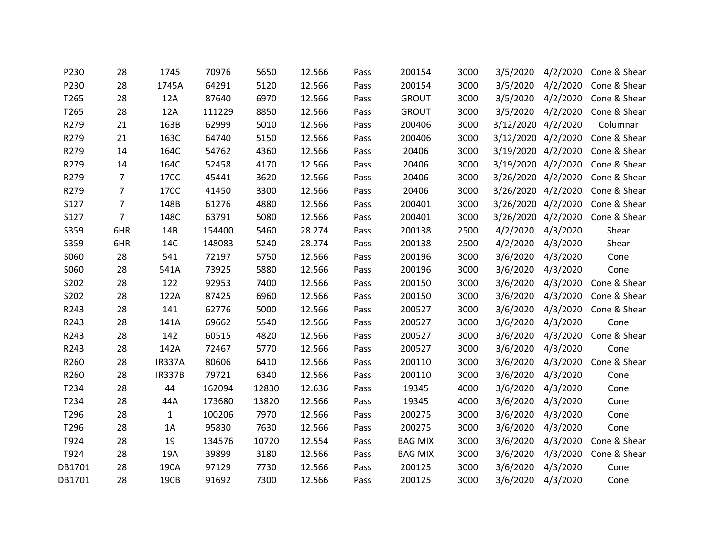| P230   | 28             | 1745          | 70976  | 5650  | 12.566 | Pass | 200154         | 3000 | 3/5/2020           | 4/2/2020          | Cone & Shear                    |
|--------|----------------|---------------|--------|-------|--------|------|----------------|------|--------------------|-------------------|---------------------------------|
| P230   | 28             | 1745A         | 64291  | 5120  | 12.566 | Pass | 200154         | 3000 | 3/5/2020           | 4/2/2020          | Cone & Shear                    |
| T265   | 28             | 12A           | 87640  | 6970  | 12.566 | Pass | <b>GROUT</b>   | 3000 |                    | 3/5/2020 4/2/2020 | Cone & Shear                    |
| T265   | 28             | 12A           | 111229 | 8850  | 12.566 | Pass | <b>GROUT</b>   | 3000 | 3/5/2020           | 4/2/2020          | Cone & Shear                    |
| R279   | 21             | 163B          | 62999  | 5010  | 12.566 | Pass | 200406         | 3000 | 3/12/2020 4/2/2020 |                   | Columnar                        |
| R279   | 21             | 163C          | 64740  | 5150  | 12.566 | Pass | 200406         | 3000 | 3/12/2020 4/2/2020 |                   | Cone & Shear                    |
| R279   | 14             | 164C          | 54762  | 4360  | 12.566 | Pass | 20406          | 3000 | 3/19/2020 4/2/2020 |                   | Cone & Shear                    |
| R279   | 14             | 164C          | 52458  | 4170  | 12.566 | Pass | 20406          | 3000 | 3/19/2020 4/2/2020 |                   | Cone & Shear                    |
| R279   | $\overline{7}$ | 170C          | 45441  | 3620  | 12.566 | Pass | 20406          | 3000 | 3/26/2020 4/2/2020 |                   | Cone & Shear                    |
| R279   | $\overline{7}$ | 170C          | 41450  | 3300  | 12.566 | Pass | 20406          | 3000 | 3/26/2020 4/2/2020 |                   | Cone & Shear                    |
| S127   | $\overline{7}$ | 148B          | 61276  | 4880  | 12.566 | Pass | 200401         | 3000 | 3/26/2020 4/2/2020 |                   | Cone & Shear                    |
| S127   | $\overline{7}$ | 148C          | 63791  | 5080  | 12.566 | Pass | 200401         | 3000 |                    |                   | 3/26/2020 4/2/2020 Cone & Shear |
| S359   | 6HR            | 14B           | 154400 | 5460  | 28.274 | Pass | 200138         | 2500 | 4/2/2020 4/3/2020  |                   | Shear                           |
| S359   | 6HR            | 14C           | 148083 | 5240  | 28.274 | Pass | 200138         | 2500 | 4/2/2020 4/3/2020  |                   | Shear                           |
| S060   | 28             | 541           | 72197  | 5750  | 12.566 | Pass | 200196         | 3000 | 3/6/2020 4/3/2020  |                   | Cone                            |
| S060   | 28             | 541A          | 73925  | 5880  | 12.566 | Pass | 200196         | 3000 | 3/6/2020           | 4/3/2020          | Cone                            |
| S202   | 28             | 122           | 92953  | 7400  | 12.566 | Pass | 200150         | 3000 | 3/6/2020           | 4/3/2020          | Cone & Shear                    |
| S202   | 28             | 122A          | 87425  | 6960  | 12.566 | Pass | 200150         | 3000 | 3/6/2020           |                   | 4/3/2020 Cone & Shear           |
| R243   | 28             | 141           | 62776  | 5000  | 12.566 | Pass | 200527         | 3000 | 3/6/2020           | 4/3/2020          | Cone & Shear                    |
| R243   | 28             | 141A          | 69662  | 5540  | 12.566 | Pass | 200527         | 3000 | 3/6/2020           | 4/3/2020          | Cone                            |
| R243   | 28             | 142           | 60515  | 4820  | 12.566 | Pass | 200527         | 3000 | 3/6/2020           | 4/3/2020          | Cone & Shear                    |
| R243   | 28             | 142A          | 72467  | 5770  | 12.566 | Pass | 200527         | 3000 | 3/6/2020           | 4/3/2020          | Cone                            |
| R260   | 28             | <b>IR337A</b> | 80606  | 6410  | 12.566 | Pass | 200110         | 3000 | 3/6/2020           | 4/3/2020          | Cone & Shear                    |
| R260   | 28             | <b>IR337B</b> | 79721  | 6340  | 12.566 | Pass | 200110         | 3000 | 3/6/2020           | 4/3/2020          | Cone                            |
| T234   | 28             | 44            | 162094 | 12830 | 12.636 | Pass | 19345          | 4000 | 3/6/2020           | 4/3/2020          | Cone                            |
| T234   | 28             | 44A           | 173680 | 13820 | 12.566 | Pass | 19345          | 4000 | 3/6/2020 4/3/2020  |                   | Cone                            |
| T296   | 28             | 1             | 100206 | 7970  | 12.566 | Pass | 200275         | 3000 | 3/6/2020           | 4/3/2020          | Cone                            |
| T296   | 28             | 1A            | 95830  | 7630  | 12.566 | Pass | 200275         | 3000 | 3/6/2020           | 4/3/2020          | Cone                            |
| T924   | 28             | 19            | 134576 | 10720 | 12.554 | Pass | <b>BAG MIX</b> | 3000 | 3/6/2020           | 4/3/2020          | Cone & Shear                    |
| T924   | 28             | 19A           | 39899  | 3180  | 12.566 | Pass | <b>BAG MIX</b> | 3000 | 3/6/2020           | 4/3/2020          | Cone & Shear                    |
| DB1701 | 28             | 190A          | 97129  | 7730  | 12.566 | Pass | 200125         | 3000 | 3/6/2020           | 4/3/2020          | Cone                            |
| DB1701 | 28             | 190B          | 91692  | 7300  | 12.566 | Pass | 200125         | 3000 | 3/6/2020           | 4/3/2020          | Cone                            |
|        |                |               |        |       |        |      |                |      |                    |                   |                                 |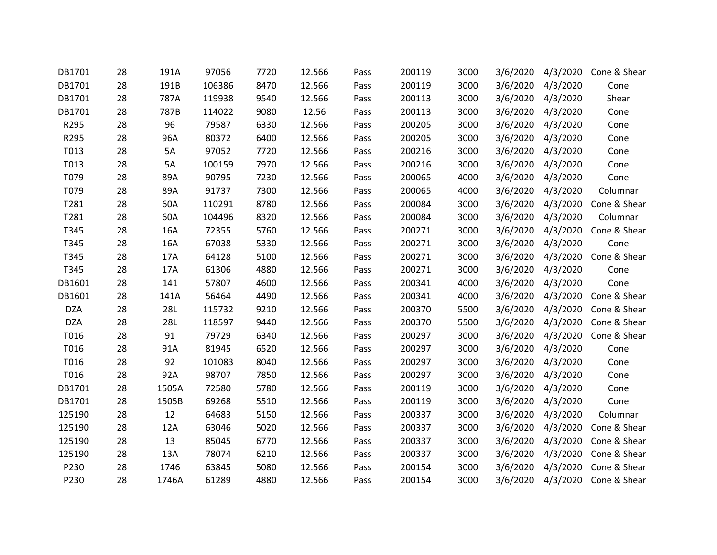| DB1701     | 28 | 191A       | 97056  | 7720 | 12.566 | Pass | 200119 | 3000 | 3/6/2020 |          | 4/3/2020 Cone & Shear |
|------------|----|------------|--------|------|--------|------|--------|------|----------|----------|-----------------------|
| DB1701     | 28 | 191B       | 106386 | 8470 | 12.566 | Pass | 200119 | 3000 | 3/6/2020 | 4/3/2020 | Cone                  |
| DB1701     | 28 | 787A       | 119938 | 9540 | 12.566 | Pass | 200113 | 3000 | 3/6/2020 | 4/3/2020 | Shear                 |
| DB1701     | 28 | 787B       | 114022 | 9080 | 12.56  | Pass | 200113 | 3000 | 3/6/2020 | 4/3/2020 | Cone                  |
| R295       | 28 | 96         | 79587  | 6330 | 12.566 | Pass | 200205 | 3000 | 3/6/2020 | 4/3/2020 | Cone                  |
| R295       | 28 | 96A        | 80372  | 6400 | 12.566 | Pass | 200205 | 3000 | 3/6/2020 | 4/3/2020 | Cone                  |
| T013       | 28 | 5A         | 97052  | 7720 | 12.566 | Pass | 200216 | 3000 | 3/6/2020 | 4/3/2020 | Cone                  |
| T013       | 28 | 5A         | 100159 | 7970 | 12.566 | Pass | 200216 | 3000 | 3/6/2020 | 4/3/2020 | Cone                  |
| T079       | 28 | 89A        | 90795  | 7230 | 12.566 | Pass | 200065 | 4000 | 3/6/2020 | 4/3/2020 | Cone                  |
| T079       | 28 | 89A        | 91737  | 7300 | 12.566 | Pass | 200065 | 4000 | 3/6/2020 | 4/3/2020 | Columnar              |
| T281       | 28 | 60A        | 110291 | 8780 | 12.566 | Pass | 200084 | 3000 | 3/6/2020 | 4/3/2020 | Cone & Shear          |
| T281       | 28 | 60A        | 104496 | 8320 | 12.566 | Pass | 200084 | 3000 | 3/6/2020 | 4/3/2020 | Columnar              |
| T345       | 28 | 16A        | 72355  | 5760 | 12.566 | Pass | 200271 | 3000 | 3/6/2020 | 4/3/2020 | Cone & Shear          |
| T345       | 28 | 16A        | 67038  | 5330 | 12.566 | Pass | 200271 | 3000 | 3/6/2020 | 4/3/2020 | Cone                  |
| T345       | 28 | 17A        | 64128  | 5100 | 12.566 | Pass | 200271 | 3000 | 3/6/2020 |          | 4/3/2020 Cone & Shear |
| T345       | 28 | 17A        | 61306  | 4880 | 12.566 | Pass | 200271 | 3000 | 3/6/2020 | 4/3/2020 | Cone                  |
| DB1601     | 28 | 141        | 57807  | 4600 | 12.566 | Pass | 200341 | 4000 | 3/6/2020 | 4/3/2020 | Cone                  |
| DB1601     | 28 | 141A       | 56464  | 4490 | 12.566 | Pass | 200341 | 4000 | 3/6/2020 |          | 4/3/2020 Cone & Shear |
| <b>DZA</b> | 28 | <b>28L</b> | 115732 | 9210 | 12.566 | Pass | 200370 | 5500 | 3/6/2020 | 4/3/2020 | Cone & Shear          |
| <b>DZA</b> | 28 | 28L        | 118597 | 9440 | 12.566 | Pass | 200370 | 5500 | 3/6/2020 |          | 4/3/2020 Cone & Shear |
| T016       | 28 | 91         | 79729  | 6340 | 12.566 | Pass | 200297 | 3000 | 3/6/2020 |          | 4/3/2020 Cone & Shear |
| T016       | 28 | 91A        | 81945  | 6520 | 12.566 | Pass | 200297 | 3000 | 3/6/2020 | 4/3/2020 | Cone                  |
| T016       | 28 | 92         | 101083 | 8040 | 12.566 | Pass | 200297 | 3000 | 3/6/2020 | 4/3/2020 | Cone                  |
| T016       | 28 | 92A        | 98707  | 7850 | 12.566 | Pass | 200297 | 3000 | 3/6/2020 | 4/3/2020 | Cone                  |
| DB1701     | 28 | 1505A      | 72580  | 5780 | 12.566 | Pass | 200119 | 3000 | 3/6/2020 | 4/3/2020 | Cone                  |
| DB1701     | 28 | 1505B      | 69268  | 5510 | 12.566 | Pass | 200119 | 3000 | 3/6/2020 | 4/3/2020 | Cone                  |
| 125190     | 28 | 12         | 64683  | 5150 | 12.566 | Pass | 200337 | 3000 | 3/6/2020 | 4/3/2020 | Columnar              |
| 125190     | 28 | 12A        | 63046  | 5020 | 12.566 | Pass | 200337 | 3000 | 3/6/2020 | 4/3/2020 | Cone & Shear          |
| 125190     | 28 | 13         | 85045  | 6770 | 12.566 | Pass | 200337 | 3000 | 3/6/2020 | 4/3/2020 | Cone & Shear          |
| 125190     | 28 | 13A        | 78074  | 6210 | 12.566 | Pass | 200337 | 3000 | 3/6/2020 | 4/3/2020 | Cone & Shear          |
| P230       | 28 | 1746       | 63845  | 5080 | 12.566 | Pass | 200154 | 3000 | 3/6/2020 |          | 4/3/2020 Cone & Shear |
| P230       | 28 | 1746A      | 61289  | 4880 | 12.566 | Pass | 200154 | 3000 | 3/6/2020 |          | 4/3/2020 Cone & Shear |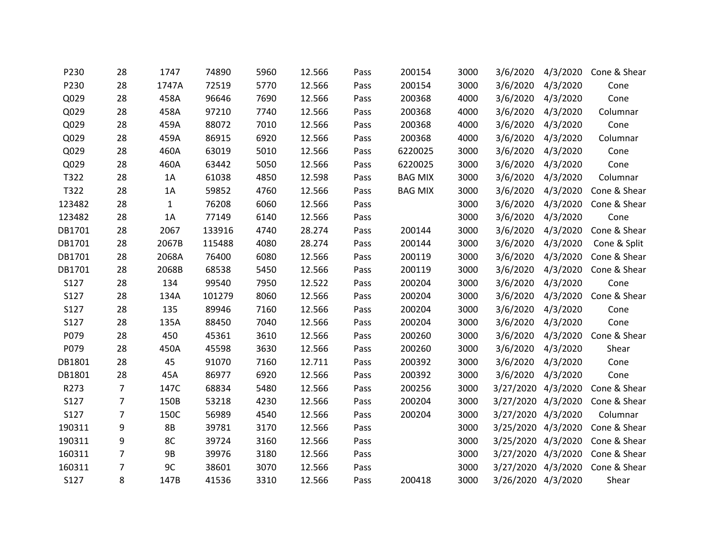| 28             | 1747         | 74890  | 5960 | 12.566 | Pass | 200154         | 3000 | 3/6/2020 | 4/3/2020 | Cone & Shear                                                                                                                                                                             |
|----------------|--------------|--------|------|--------|------|----------------|------|----------|----------|------------------------------------------------------------------------------------------------------------------------------------------------------------------------------------------|
| 28             | 1747A        | 72519  | 5770 | 12.566 | Pass | 200154         | 3000 | 3/6/2020 | 4/3/2020 | Cone                                                                                                                                                                                     |
| 28             | 458A         | 96646  | 7690 | 12.566 | Pass | 200368         | 4000 | 3/6/2020 |          | Cone                                                                                                                                                                                     |
| 28             | 458A         | 97210  | 7740 | 12.566 | Pass | 200368         | 4000 | 3/6/2020 | 4/3/2020 | Columnar                                                                                                                                                                                 |
| 28             | 459A         | 88072  | 7010 | 12.566 | Pass | 200368         | 4000 | 3/6/2020 | 4/3/2020 | Cone                                                                                                                                                                                     |
| 28             | 459A         | 86915  | 6920 | 12.566 | Pass | 200368         | 4000 | 3/6/2020 | 4/3/2020 | Columnar                                                                                                                                                                                 |
| 28             | 460A         | 63019  | 5010 | 12.566 | Pass | 6220025        | 3000 | 3/6/2020 | 4/3/2020 | Cone                                                                                                                                                                                     |
| 28             | 460A         | 63442  | 5050 | 12.566 | Pass | 6220025        | 3000 | 3/6/2020 | 4/3/2020 | Cone                                                                                                                                                                                     |
| 28             | 1A           | 61038  | 4850 | 12.598 | Pass | <b>BAG MIX</b> | 3000 | 3/6/2020 | 4/3/2020 | Columnar                                                                                                                                                                                 |
| 28             | 1A           | 59852  | 4760 | 12.566 | Pass | <b>BAG MIX</b> | 3000 | 3/6/2020 | 4/3/2020 | Cone & Shear                                                                                                                                                                             |
| 28             | $\mathbf{1}$ | 76208  | 6060 | 12.566 | Pass |                | 3000 | 3/6/2020 | 4/3/2020 | Cone & Shear                                                                                                                                                                             |
| 28             | 1A           | 77149  | 6140 | 12.566 | Pass |                | 3000 | 3/6/2020 | 4/3/2020 | Cone                                                                                                                                                                                     |
| 28             | 2067         | 133916 | 4740 | 28.274 | Pass | 200144         | 3000 | 3/6/2020 | 4/3/2020 | Cone & Shear                                                                                                                                                                             |
| 28             | 2067B        | 115488 | 4080 | 28.274 | Pass | 200144         | 3000 | 3/6/2020 | 4/3/2020 | Cone & Split                                                                                                                                                                             |
| 28             | 2068A        | 76400  | 6080 | 12.566 | Pass | 200119         | 3000 | 3/6/2020 | 4/3/2020 | Cone & Shear                                                                                                                                                                             |
| 28             | 2068B        | 68538  | 5450 | 12.566 | Pass | 200119         | 3000 | 3/6/2020 | 4/3/2020 | Cone & Shear                                                                                                                                                                             |
| 28             | 134          | 99540  | 7950 | 12.522 | Pass | 200204         | 3000 | 3/6/2020 | 4/3/2020 | Cone                                                                                                                                                                                     |
| 28             | 134A         | 101279 | 8060 | 12.566 | Pass | 200204         | 3000 | 3/6/2020 | 4/3/2020 | Cone & Shear                                                                                                                                                                             |
| 28             | 135          | 89946  | 7160 | 12.566 | Pass | 200204         | 3000 | 3/6/2020 | 4/3/2020 | Cone                                                                                                                                                                                     |
| 28             | 135A         | 88450  | 7040 | 12.566 | Pass | 200204         | 3000 | 3/6/2020 | 4/3/2020 | Cone                                                                                                                                                                                     |
| 28             | 450          | 45361  | 3610 | 12.566 | Pass | 200260         | 3000 | 3/6/2020 | 4/3/2020 | Cone & Shear                                                                                                                                                                             |
| 28             | 450A         | 45598  | 3630 | 12.566 | Pass | 200260         | 3000 | 3/6/2020 | 4/3/2020 | Shear                                                                                                                                                                                    |
| 28             | 45           | 91070  | 7160 | 12.711 | Pass | 200392         | 3000 | 3/6/2020 | 4/3/2020 | Cone                                                                                                                                                                                     |
| 28             | 45A          | 86977  | 6920 | 12.566 | Pass | 200392         | 3000 | 3/6/2020 | 4/3/2020 | Cone                                                                                                                                                                                     |
| $\overline{7}$ | 147C         | 68834  | 5480 | 12.566 | Pass | 200256         | 3000 |          |          | Cone & Shear                                                                                                                                                                             |
| $\overline{7}$ | 150B         | 53218  | 4230 | 12.566 | Pass | 200204         | 3000 |          |          | Cone & Shear                                                                                                                                                                             |
| $\overline{7}$ | 150C         | 56989  | 4540 | 12.566 | Pass | 200204         | 3000 |          |          | Columnar                                                                                                                                                                                 |
| 9              | <b>8B</b>    | 39781  | 3170 | 12.566 | Pass |                | 3000 |          |          | Cone & Shear                                                                                                                                                                             |
| 9              | 8C           | 39724  | 3160 | 12.566 | Pass |                | 3000 |          |          | Cone & Shear                                                                                                                                                                             |
| $\overline{7}$ | <b>9B</b>    | 39976  | 3180 | 12.566 | Pass |                | 3000 |          |          | Cone & Shear                                                                                                                                                                             |
| $\overline{7}$ | 9C           | 38601  | 3070 | 12.566 | Pass |                | 3000 |          |          | Cone & Shear                                                                                                                                                                             |
| 8              | 147B         | 41536  | 3310 | 12.566 | Pass | 200418         | 3000 |          |          | Shear                                                                                                                                                                                    |
|                |              |        |      |        |      |                |      |          |          | 4/3/2020<br>3/27/2020 4/3/2020<br>3/27/2020 4/3/2020<br>3/27/2020 4/3/2020<br>3/25/2020 4/3/2020<br>3/25/2020 4/3/2020<br>3/27/2020 4/3/2020<br>3/27/2020 4/3/2020<br>3/26/2020 4/3/2020 |